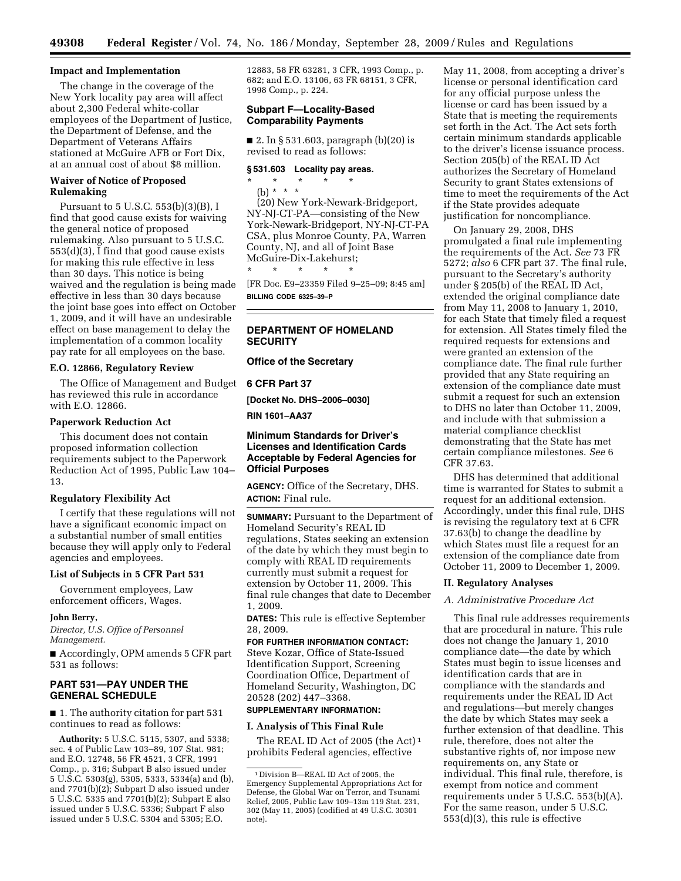### **Impact and Implementation**

The change in the coverage of the New York locality pay area will affect about 2,300 Federal white-collar employees of the Department of Justice, the Department of Defense, and the Department of Veterans Affairs stationed at McGuire AFB or Fort Dix, at an annual cost of about \$8 million.

# **Waiver of Notice of Proposed Rulemaking**

Pursuant to 5 U.S.C. 553(b)(3)(B), I find that good cause exists for waiving the general notice of proposed rulemaking. Also pursuant to 5 U.S.C. 553(d)(3), I find that good cause exists for making this rule effective in less than 30 days. This notice is being waived and the regulation is being made effective in less than 30 days because the joint base goes into effect on October 1, 2009, and it will have an undesirable effect on base management to delay the implementation of a common locality pay rate for all employees on the base.

## **E.O. 12866, Regulatory Review**

The Office of Management and Budget has reviewed this rule in accordance with E.O. 12866.

### **Paperwork Reduction Act**

This document does not contain proposed information collection requirements subject to the Paperwork Reduction Act of 1995, Public Law 104– 13.

#### **Regulatory Flexibility Act**

I certify that these regulations will not have a significant economic impact on a substantial number of small entities because they will apply only to Federal agencies and employees.

## **List of Subjects in 5 CFR Part 531**

Government employees, Law enforcement officers, Wages.

#### **John Berry,**

*Director, U.S. Office of Personnel Management.* 

■ Accordingly, OPM amends 5 CFR part 531 as follows:

# **PART 531—PAY UNDER THE GENERAL SCHEDULE**

■ 1. The authority citation for part 531 continues to read as follows:

**Authority:** 5 U.S.C. 5115, 5307, and 5338; sec. 4 of Public Law 103–89, 107 Stat. 981; and E.O. 12748, 56 FR 4521, 3 CFR, 1991 Comp., p. 316; Subpart B also issued under  $5 \text{ U.S.C.}$  5303(g), 5305, 5333, 5334(a) and (b), and 7701(b)(2); Subpart D also issued under 5 U.S.C. 5335 and 7701(b)(2); Subpart E also issued under 5 U.S.C. 5336; Subpart F also issued under 5 U.S.C. 5304 and 5305; E.O.

12883, 58 FR 63281, 3 CFR, 1993 Comp., p. 682; and E.O. 13106, 63 FR 68151, 3 CFR, 1998 Comp., p. 224.

## **Subpart F—Locality-Based Comparability Payments**

■ 2. In § 531.603, paragraph (b)(20) is revised to read as follows:

### **§ 531.603 Locality pay areas.**

- \* \* \* \* \*
	- (b) \* \* \*

(20) New York-Newark-Bridgeport, NY-NJ-CT-PA—consisting of the New York-Newark-Bridgeport, NY-NJ-CT-PA CSA, plus Monroe County, PA, Warren County, NJ, and all of Joint Base McGuire-Dix-Lakehurst;

\* \* \* \* \* [FR Doc. E9–23359 Filed 9–25–09; 8:45 am] **BILLING CODE 6325–39–P** 

## **DEPARTMENT OF HOMELAND SECURITY**

### **Office of the Secretary**

**6 CFR Part 37** 

**[Docket No. DHS–2006–0030]** 

**RIN 1601–AA37** 

# **Minimum Standards for Driver's Licenses and Identification Cards Acceptable by Federal Agencies for Official Purposes**

**AGENCY:** Office of the Secretary, DHS. **ACTION:** Final rule.

**SUMMARY:** Pursuant to the Department of Homeland Security's REAL ID regulations, States seeking an extension of the date by which they must begin to comply with REAL ID requirements currently must submit a request for extension by October 11, 2009. This final rule changes that date to December 1, 2009.

**DATES:** This rule is effective September 28, 2009.

**FOR FURTHER INFORMATION CONTACT:**  Steve Kozar, Office of State-Issued Identification Support, Screening Coordination Office, Department of Homeland Security, Washington, DC 20528 (202) 447–3368.

# **SUPPLEMENTARY INFORMATION:**

## **I. Analysis of This Final Rule**

The REAL ID Act of 2005 (the Act) 1 prohibits Federal agencies, effective

May 11, 2008, from accepting a driver's license or personal identification card for any official purpose unless the license or card has been issued by a State that is meeting the requirements set forth in the Act. The Act sets forth certain minimum standards applicable to the driver's license issuance process. Section 205(b) of the REAL ID Act authorizes the Secretary of Homeland Security to grant States extensions of time to meet the requirements of the Act if the State provides adequate justification for noncompliance.

On January 29, 2008, DHS promulgated a final rule implementing the requirements of the Act. *See* 73 FR 5272; *also* 6 CFR part 37. The final rule, pursuant to the Secretary's authority under § 205(b) of the REAL ID Act, extended the original compliance date from May 11, 2008 to January 1, 2010, for each State that timely filed a request for extension. All States timely filed the required requests for extensions and were granted an extension of the compliance date. The final rule further provided that any State requiring an extension of the compliance date must submit a request for such an extension to DHS no later than October 11, 2009, and include with that submission a material compliance checklist demonstrating that the State has met certain compliance milestones. *See* 6 CFR 37.63.

DHS has determined that additional time is warranted for States to submit a request for an additional extension. Accordingly, under this final rule, DHS is revising the regulatory text at 6 CFR 37.63(b) to change the deadline by which States must file a request for an extension of the compliance date from October 11, 2009 to December 1, 2009.

#### **II. Regulatory Analyses**

## *A. Administrative Procedure Act*

This final rule addresses requirements that are procedural in nature. This rule does not change the January 1, 2010 compliance date—the date by which States must begin to issue licenses and identification cards that are in compliance with the standards and requirements under the REAL ID Act and regulations—but merely changes the date by which States may seek a further extension of that deadline. This rule, therefore, does not alter the substantive rights of, nor impose new requirements on, any State or individual. This final rule, therefore, is exempt from notice and comment requirements under 5 U.S.C. 553(b)(A). For the same reason, under 5 U.S.C. 553(d)(3), this rule is effective

<sup>1</sup> Division B—REAL ID Act of 2005, the Emergency Supplemental Appropriations Act for Defense, the Global War on Terror, and Tsunami Relief, 2005, Public Law 109–13m 119 Stat. 231, 302 (May 11, 2005) (codified at 49 U.S.C. 30301 note).